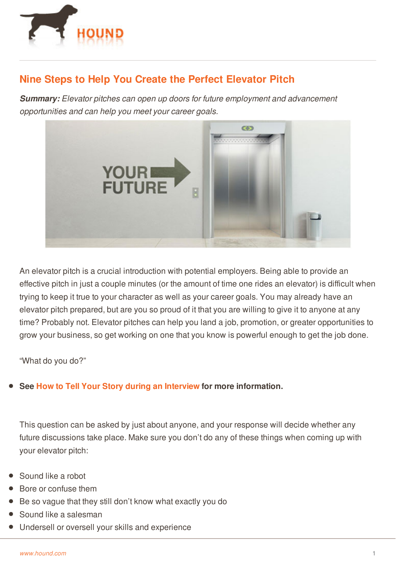

## **Nine Steps to Help You Create the Perfect Elevator Pitch**

*Summary: Elevator pitches can open up doors for future employment and advancement opportunities and can help you meet your career goals.*



An elevator pitch is a crucial introduction with potential employers. Being able to provide an effective pitch in just a couple minutes (or the amount of time one rides an elevator) is difficult when trying to keep it true to your character as well as your career goals. You may already have an elevator pitch prepared, but are you so proud of it that you are willing to give it to anyone at any time? Probably not. Elevator pitches can help you land a job, promotion, or greater opportunities to grow your business, so get working on one that you know is powerful enough to get the job done.

"What do you do?"

## **See How to Tell Your Story during an [Interview](http://www.hound.com/article/900046007/How-to-Tell-Your-Story-during-an-Interview/) for more information.**

This question can be asked by just about anyone, and your response will decide whether any future discussions take place. Make sure you don't do any of these things when coming up with your elevator pitch:

- Sound like a robot
- [Bore](http://www.hound.com/) or confuse them
- Be so vague that they still don't know what exactly you do
- Sound like a salesman
- Undersell or oversell your skills and experience